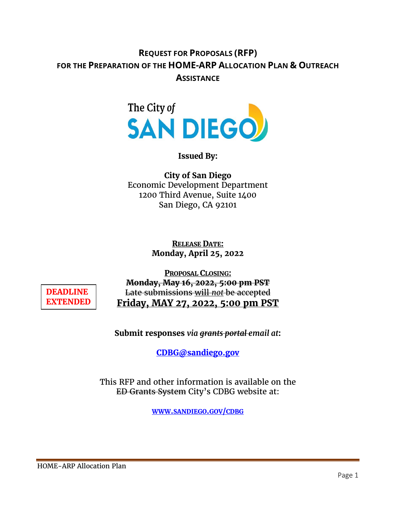# **REQUEST FOR PROPOSALS (RFP) FOR THE PREPARATION OF THE HOME-ARP ALLOCATION PLAN & OUTREACH ASSISTANCE**



#### **Issued By:**

**City of San Diego** Economic Development Department 1200 Third Avenue, Suite 1400 San Diego, CA 92101

> **RELEASE DATE: Monday, April 25, 2022**

**DEADLINE EXTENDED**

**PROPOSAL CLOSING: Monday, May 16, 2022, 5:00 pm PST**  Late submissions will *not* be accepted **Friday, MAY 27, 2022, 5:00 pm PST**

**Submit responses** *via grants portal email at***:** 

**[CDBG@sandiego.gov](mailto:CDBG@sandiego.gov)**

This RFP and other information is available on the ED Grants System City's CDBG website at:

**[WWW.SANDIEGO.GOV/CDBG](http://www.sandiego.gov/cdbg)**

HOME-ARP Allocation Plan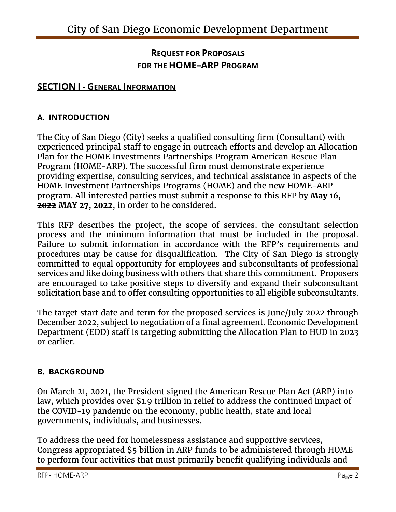# **REQUEST FOR PROPOSALS FOR THE HOME–ARP PROGRAM**

## **SECTION I - GENERAL INFORMATION**

#### **A. INTRODUCTION**

The City of San Diego (City) seeks a qualified consulting firm (Consultant) with experienced principal staff to engage in outreach efforts and develop an Allocation Plan for the HOME Investments Partnerships Program American Rescue Plan Program (HOME-ARP). The successful firm must demonstrate experience providing expertise, consulting services, and technical assistance in aspects of the HOME Investment Partnerships Programs (HOME) and the new HOME-ARP program. All interested parties must submit a response to this RFP by **May 16, 2022 MAY 27, 2022**, in order to be considered.

This RFP describes the project, the scope of services, the consultant selection process and the minimum information that must be included in the proposal. Failure to submit information in accordance with the RFP's requirements and procedures may be cause for disqualification. The City of San Diego is strongly committed to equal opportunity for employees and subconsultants of professional services and like doing business with others that share this commitment. Proposers are encouraged to take positive steps to diversify and expand their subconsultant solicitation base and to offer consulting opportunities to all eligible subconsultants.

The target start date and term for the proposed services is June/July 2022 through December 2022, subject to negotiation of a final agreement. Economic Development Department (EDD) staff is targeting submitting the Allocation Plan to HUD in 2023 or earlier.

#### **B. BACKGROUND**

On March 21, 2021, the President signed the American Rescue Plan Act (ARP) into law, which provides over \$1.9 trillion in relief to address the continued impact of the COVID-19 pandemic on the economy, public health, state and local governments, individuals, and businesses.

To address the need for homelessness assistance and supportive services, Congress appropriated \$5 billion in ARP funds to be administered through HOME to perform four activities that must primarily benefit qualifying individuals and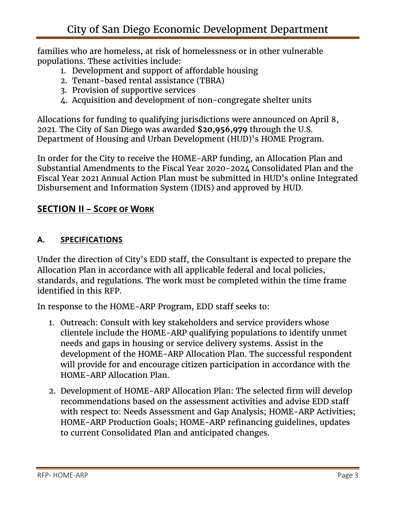families who are homeless, at risk of homelessness or in other vulnerable populations. These activities include:

- 1. Development and support of affordable housing
- 2. Tenant-based rental assistance (TBRA)
- 3. Provision of supportive services
- 4. Acquisition and development of non-congregate shelter units

Allocations for funding to qualifying jurisdictions were announced on April 8, 2021. The City of San Diego was awarded **\$20,956,979** through the U.S. Department of Housing and Urban Development (HUD)'s HOME Program.

In order for the City to receive the HOME-ARP funding, an Allocation Plan and Substantial Amendments to the Fiscal Year 2020-2024 Consolidated Plan and the Fiscal Year 2021 Annual Action Plan must be submitted in HUD's online Integrated Disbursement and Information System (IDIS) and approved by HUD.

# **SECTION II – SCOPE OF WORK**

# **A. SPECIFICATIONS**

Under the direction of City's EDD staff, the Consultant is expected to prepare the Allocation Plan in accordance with all applicable federal and local policies, standards, and regulations. The work must be completed within the time frame identified in this RFP.

In response to the HOME-ARP Program, EDD staff seeks to:

- 1. Outreach: Consult with key stakeholders and service providers whose clientele include the HOME-ARP qualifying populations to identify unmet needs and gaps in housing or service delivery systems. Assist in the development of the HOME-ARP Allocation Plan. The successful respondent will provide for and encourage citizen participation in accordance with the HOME-ARP Allocation Plan.
- 2. Development of HOME-ARP Allocation Plan: The selected firm will develop recommendations based on the assessment activities and advise EDD staff with respect to: Needs Assessment and Gap Analysis; HOME-ARP Activities; HOME-ARP Production Goals; HOME-ARP refinancing guidelines, updates to current Consolidated Plan and anticipated changes.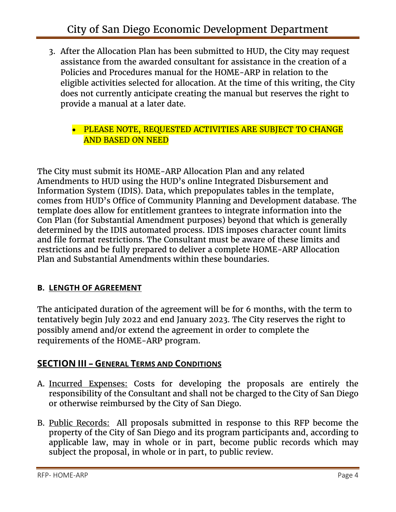3. After the Allocation Plan has been submitted to HUD, the City may request assistance from the awarded consultant for assistance in the creation of a Policies and Procedures manual for the HOME-ARP in relation to the eligible activities selected for allocation. At the time of this writing, the City does not currently anticipate creating the manual but reserves the right to provide a manual at a later date.

### • PLEASE NOTE, REQUESTED ACTIVITIES ARE SUBJECT TO CHANGE AND BASED ON NEED

The City must submit its HOME-ARP Allocation Plan and any related Amendments to HUD using the HUD's online Integrated Disbursement and Information System (IDIS). Data, which prepopulates tables in the template, comes from HUD's Office of Community Planning and Development database. The template does allow for entitlement grantees to integrate information into the Con Plan (for Substantial Amendment purposes) beyond that which is generally determined by the IDIS automated process. IDIS imposes character count limits and file format restrictions. The Consultant must be aware of these limits and restrictions and be fully prepared to deliver a complete HOME-ARP Allocation Plan and Substantial Amendments within these boundaries.

## **B. LENGTH OF AGREEMENT**

The anticipated duration of the agreement will be for 6 months, with the term to tentatively begin July 2022 and end January 2023. The City reserves the right to possibly amend and/or extend the agreement in order to complete the requirements of the HOME-ARP program.

## **SECTION III – GENERAL TERMS AND CONDITIONS**

- A. Incurred Expenses: Costs for developing the proposals are entirely the responsibility of the Consultant and shall not be charged to the City of San Diego or otherwise reimbursed by the City of San Diego.
- B. Public Records: All proposals submitted in response to this RFP become the property of the City of San Diego and its program participants and, according to applicable law, may in whole or in part, become public records which may subject the proposal, in whole or in part, to public review.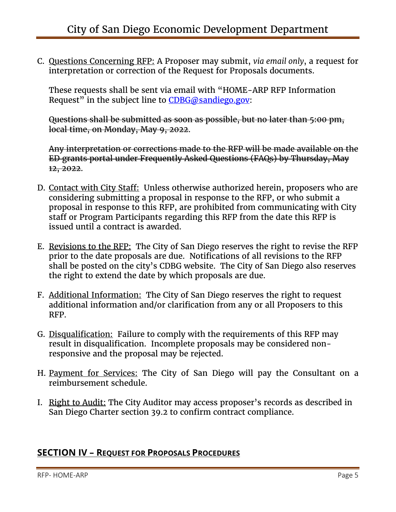C. Questions Concerning RFP: A Proposer may submit, *via email only*, a request for interpretation or correction of the Request for Proposals documents.

These requests shall be sent via email with "HOME-ARP RFP Information Request" in the subject line to  $CDBG@sandiego.gov$ :

Questions shall be submitted as soon as possible, but no later than 5:00 pm, local time, on Monday, May 9, 2022.

Any interpretation or corrections made to the RFP will be made available on the ED grants portal under Frequently Asked Questions (FAQs) by Thursday, May 12, 2022.

- D. Contact with City Staff: Unless otherwise authorized herein, proposers who are considering submitting a proposal in response to the RFP, or who submit a proposal in response to this RFP, are prohibited from communicating with City staff or Program Participants regarding this RFP from the date this RFP is issued until a contract is awarded.
- E. Revisions to the RFP: The City of San Diego reserves the right to revise the RFP prior to the date proposals are due. Notifications of all revisions to the RFP shall be posted on the city's CDBG website. The City of San Diego also reserves the right to extend the date by which proposals are due.
- F. Additional Information: The City of San Diego reserves the right to request additional information and/or clarification from any or all Proposers to this RFP.
- G. Disqualification: Failure to comply with the requirements of this RFP may result in disqualification. Incomplete proposals may be considered nonresponsive and the proposal may be rejected.
- H. Payment for Services: The City of San Diego will pay the Consultant on a reimbursement schedule.
- I. Right to Audit: The City Auditor may access proposer's records as described in San Diego Charter section 39.2 to confirm contract compliance.

# **SECTION IV – REQUEST FOR PROPOSALS PROCEDURES**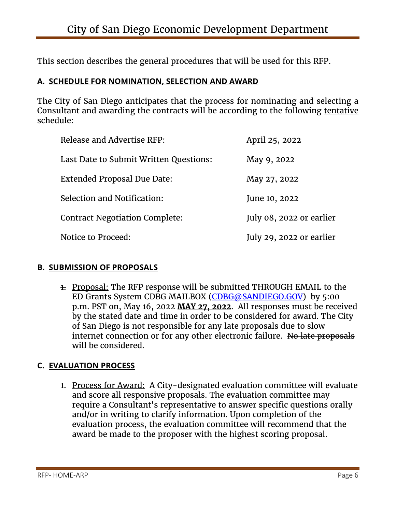This section describes the general procedures that will be used for this RFP.

### **A. SCHEDULE FOR NOMINATION, SELECTION AND AWARD**

The City of San Diego anticipates that the process for nominating and selecting a Consultant and awarding the contracts will be according to the following tentative schedule:

| Release and Advertise RFP:                    | April 25, 2022           |
|-----------------------------------------------|--------------------------|
| <b>Last Date to Submit Written Questions:</b> | May 9, 2022              |
| Extended Proposal Due Date:                   | May 27, 2022             |
| Selection and Notification:                   | June 10, 2022            |
| <b>Contract Negotiation Complete:</b>         | July 08, 2022 or earlier |
| Notice to Proceed:                            | July 29, 2022 or earlier |

#### **B. SUBMISSION OF PROPOSALS**

1. Proposal: The RFP response will be submitted THROUGH EMAIL to the ED Grants System CDBG MAILBOX [\(CDBG@SANDIEGO.GOV\)](mailto:CDBG@SANDIEGO.GOV) by 5:00 p.m. PST on, May 16, 2022 **MAY 27, 2022**. All responses must be received by the stated date and time in order to be considered for award. The City of San Diego is not responsible for any late proposals due to slow internet connection or for any other electronic failure. No late proposals will be considered.

#### **C. EVALUATION PROCESS**

1. Process for Award: A City-designated evaluation committee will evaluate and score all responsive proposals. The evaluation committee may require a Consultant's representative to answer specific questions orally and/or in writing to clarify information. Upon completion of the evaluation process, the evaluation committee will recommend that the award be made to the proposer with the highest scoring proposal.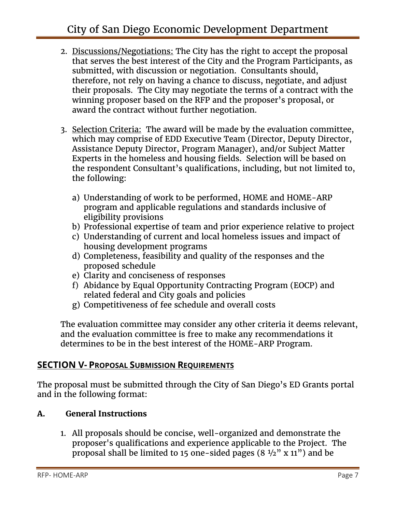- 2. Discussions/Negotiations: The City has the right to accept the proposal that serves the best interest of the City and the Program Participants, as submitted, with discussion or negotiation. Consultants should, therefore, not rely on having a chance to discuss, negotiate, and adjust their proposals. The City may negotiate the terms of a contract with the winning proposer based on the RFP and the proposer's proposal, or award the contract without further negotiation.
- 3. Selection Criteria: The award will be made by the evaluation committee, which may comprise of EDD Executive Team (Director, Deputy Director, Assistance Deputy Director, Program Manager), and/or Subject Matter Experts in the homeless and housing fields. Selection will be based on the respondent Consultant's qualifications, including, but not limited to, the following:
	- a) Understanding of work to be performed, HOME and HOME-ARP program and applicable regulations and standards inclusive of eligibility provisions
	- b) Professional expertise of team and prior experience relative to project
	- c) Understanding of current and local homeless issues and impact of housing development programs
	- d) Completeness, feasibility and quality of the responses and the proposed schedule
	- e) Clarity and conciseness of responses
	- f) Abidance by Equal Opportunity Contracting Program (EOCP) and related federal and City goals and policies
	- g) Competitiveness of fee schedule and overall costs

The evaluation committee may consider any other criteria it deems relevant, and the evaluation committee is free to make any recommendations it determines to be in the best interest of the HOME-ARP Program.

# **SECTION V- PROPOSAL SUBMISSION REQUIREMENTS**

The proposal must be submitted through the City of San Diego's ED Grants portal and in the following format:

# **A. General Instructions**

1. All proposals should be concise, well-organized and demonstrate the proposer's qualifications and experience applicable to the Project. The proposal shall be limited to 15 one-sided pages  $(8 \frac{1}{2}$ " x 11") and be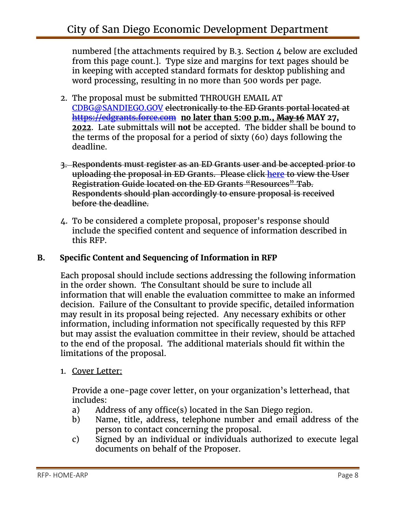numbered [the attachments required by B.3. Section 4 below are excluded from this page count.]. Type size and margins for text pages should be in keeping with accepted standard formats for desktop publishing and word processing, resulting in no more than 500 words per page.

- 2. The proposal must be submitted THROUGH EMAIL AT [CDBG@SANDIEGO.GOV](mailto:CDBG@SANDIEGO.GOV) electronically to the ED Grants portal located at [https://edgrants.force.com](https://edgrants.force.com/) **no later than 5:00 p.m., May 16 MAY 27, 2022**. Late submittals will **not** be accepted. The bidder shall be bound to the terms of the proposal for a period of sixty (60) days following the deadline.
- 3. Respondents must register as an ED Grants user and be accepted prior to uploading the proposal in ED Grants. Please click [here](https://edgrants.force.com/servlet/servlet.FileDownload?file=015t0000000HTfT) to view the User Registration Guide located on the ED Grants "Resources" Tab. Respondents should plan accordingly to ensure proposal is received before the deadline.
- 4. To be considered a complete proposal, proposer's response should include the specified content and sequence of information described in this RFP.

## **B. Specific Content and Sequencing of Information in RFP**

Each proposal should include sections addressing the following information in the order shown. The Consultant should be sure to include all information that will enable the evaluation committee to make an informed decision. Failure of the Consultant to provide specific, detailed information may result in its proposal being rejected. Any necessary exhibits or other information, including information not specifically requested by this RFP but may assist the evaluation committee in their review, should be attached to the end of the proposal. The additional materials should fit within the limitations of the proposal.

1. Cover Letter:

Provide a one-page cover letter, on your organization's letterhead, that includes:

- a) Address of any office(s) located in the San Diego region.
- b) Name, title, address, telephone number and email address of the person to contact concerning the proposal.
- c) Signed by an individual or individuals authorized to execute legal documents on behalf of the Proposer.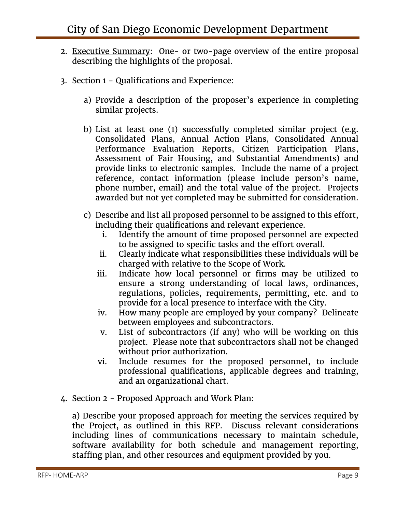- 2. Executive Summary: One- or two-page overview of the entire proposal describing the highlights of the proposal.
- 3. Section 1 Qualifications and Experience:
	- a) Provide a description of the proposer's experience in completing similar projects.
	- b) List at least one (1) successfully completed similar project (e.g. Consolidated Plans, Annual Action Plans, Consolidated Annual Performance Evaluation Reports, Citizen Participation Plans, Assessment of Fair Housing, and Substantial Amendments) and provide links to electronic samples. Include the name of a project reference, contact information (please include person's name, phone number, email) and the total value of the project. Projects awarded but not yet completed may be submitted for consideration.
	- c) Describe and list all proposed personnel to be assigned to this effort, including their qualifications and relevant experience.
		- i. Identify the amount of time proposed personnel are expected to be assigned to specific tasks and the effort overall.
		- ii. Clearly indicate what responsibilities these individuals will be charged with relative to the Scope of Work.
		- iii. Indicate how local personnel or firms may be utilized to ensure a strong understanding of local laws, ordinances, regulations, policies, requirements, permitting, etc. and to provide for a local presence to interface with the City.
		- iv. How many people are employed by your company? Delineate between employees and subcontractors.
		- v. List of subcontractors (if any) who will be working on this project. Please note that subcontractors shall not be changed without prior authorization.
		- vi. Include resumes for the proposed personnel, to include professional qualifications, applicable degrees and training, and an organizational chart.
- 4. Section 2 Proposed Approach and Work Plan:

a) Describe your proposed approach for meeting the services required by the Project, as outlined in this RFP. Discuss relevant considerations including lines of communications necessary to maintain schedule, software availability for both schedule and management reporting, staffing plan, and other resources and equipment provided by you.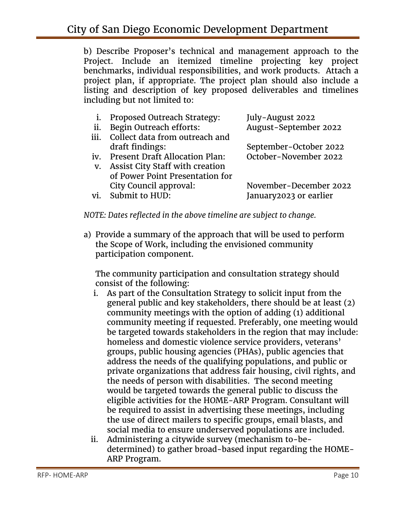b) Describe Proposer's technical and management approach to the Project. Include an itemized timeline projecting key project benchmarks, individual responsibilities, and work products. Attach a project plan, if appropriate. The project plan should also include a listing and description of key proposed deliverables and timelines including but not limited to:

|      | Proposed Outreach Strategy:            | July-August 2022       |
|------|----------------------------------------|------------------------|
| ii.  | Begin Outreach efforts:                | August-September 2022  |
| iii. | Collect data from outreach and         |                        |
|      | draft findings:                        | September-October 2022 |
| iv.  | <b>Present Draft Allocation Plan:</b>  | October-November 2022  |
| V.   | <b>Assist City Staff with creation</b> |                        |
|      | of Power Point Presentation for        |                        |
|      | City Council approval:                 | November-December 2022 |
| vi.  | Submit to HUD:                         | January2023 or earlier |

*NOTE: Dates reflected in the above timeline are subject to change.*

a) Provide a summary of the approach that will be used to perform the Scope of Work, including the envisioned community participation component.

The community participation and consultation strategy should consist of the following:

- i. As part of the Consultation Strategy to solicit input from the general public and key stakeholders, there should be at least (2) community meetings with the option of adding (1) additional community meeting if requested. Preferably, one meeting would be targeted towards stakeholders in the region that may include: homeless and domestic violence service providers, veterans' groups, public housing agencies (PHAs), public agencies that address the needs of the qualifying populations, and public or private organizations that address fair housing, civil rights, and the needs of person with disabilities. The second meeting would be targeted towards the general public to discuss the eligible activities for the HOME-ARP Program. Consultant will be required to assist in advertising these meetings, including the use of direct mailers to specific groups, email blasts, and social media to ensure underserved populations are included.
- ii. Administering a citywide survey (mechanism to-bedetermined) to gather broad-based input regarding the HOME-ARP Program.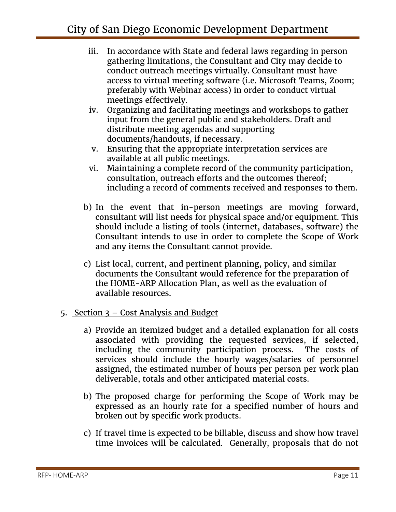- iii. In accordance with State and federal laws regarding in person gathering limitations, the Consultant and City may decide to conduct outreach meetings virtually. Consultant must have access to virtual meeting software (i.e. Microsoft Teams, Zoom; preferably with Webinar access) in order to conduct virtual meetings effectively.
- iv. Organizing and facilitating meetings and workshops to gather input from the general public and stakeholders. Draft and distribute meeting agendas and supporting documents/handouts, if necessary.
- v. Ensuring that the appropriate interpretation services are available at all public meetings.
- vi. Maintaining a complete record of the community participation, consultation, outreach efforts and the outcomes thereof; including a record of comments received and responses to them.
- b) In the event that in-person meetings are moving forward, consultant will list needs for physical space and/or equipment. This should include a listing of tools (internet, databases, software) the Consultant intends to use in order to complete the Scope of Work and any items the Consultant cannot provide.
- c) List local, current, and pertinent planning, policy, and similar documents the Consultant would reference for the preparation of the HOME-ARP Allocation Plan, as well as the evaluation of available resources.
- 5. Section 3 Cost Analysis and Budget
	- a) Provide an itemized budget and a detailed explanation for all costs associated with providing the requested services, if selected, including the community participation process. The costs of services should include the hourly wages/salaries of personnel assigned, the estimated number of hours per person per work plan deliverable, totals and other anticipated material costs.
	- b) The proposed charge for performing the Scope of Work may be expressed as an hourly rate for a specified number of hours and broken out by specific work products.
	- c) If travel time is expected to be billable, discuss and show how travel time invoices will be calculated. Generally, proposals that do not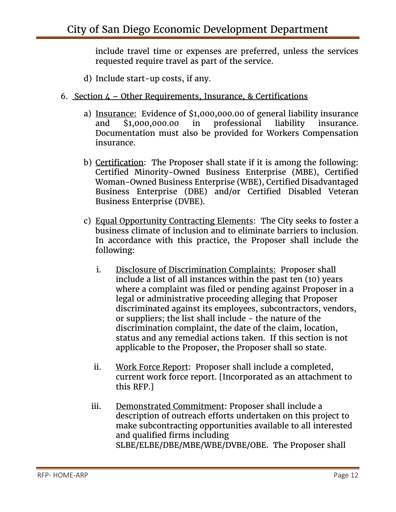include travel time or expenses are preferred, unless the services requested require travel as part of the service.

d) Include start-up costs, if any.

#### 6. Section  $\mu$  – Other Requirements, Insurance, & Certifications

- a) Insurance: Evidence of \$1,000,000.00 of general liability insurance and \$1,000,000.00 in professional liability insurance. Documentation must also be provided for Workers Compensation insurance.
- b) Certification: The Proposer shall state if it is among the following: Certified Minority-Owned Business Enterprise (MBE), Certified Woman-Owned Business Enterprise (WBE), Certified Disadvantaged Business Enterprise (DBE) and/or Certified Disabled Veteran Business Enterprise (DVBE).
- c) Equal Opportunity Contracting Elements: The City seeks to foster a business climate of inclusion and to eliminate barriers to inclusion. In accordance with this practice, the Proposer shall include the following:
	- i. Disclosure of Discrimination Complaints: Proposer shall include a list of all instances within the past ten (10) years where a complaint was filed or pending against Proposer in a legal or administrative proceeding alleging that Proposer discriminated against its employees, subcontractors, vendors, or suppliers; the list shall include - the nature of the discrimination complaint, the date of the claim, location, status and any remedial actions taken. If this section is not applicable to the Proposer, the Proposer shall so state.
	- ii. Work Force Report: Proposer shall include a completed, current work force report. [Incorporated as an attachment to this RFP.]
	- iii. Demonstrated Commitment: Proposer shall include a description of outreach efforts undertaken on this project to make subcontracting opportunities available to all interested and qualified firms including SLBE/ELBE/DBE/MBE/WBE/DVBE/OBE. The Proposer shall